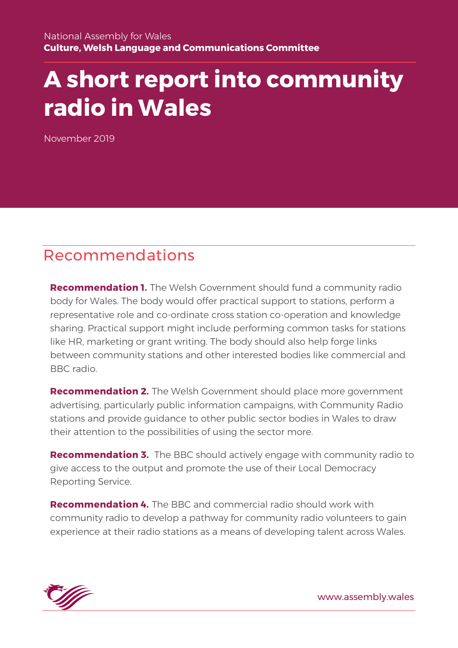# **A short report into community radio in Wales**

November 2019

### Recommendations

**Recommendation 1.** The Welsh Government should fund a community radio body for Wales. The body would offer practical support to stations, perform a representative role and co-ordinate cross station co-operation and knowledge sharing. Practical support might include performing common tasks for stations like HR, marketing or grant writing. The body should also help forge links between community stations and other interested bodies like commercial and BBC radio.

**Recommendation 2.** The Welsh Government should place more government advertising, particularly public information campaigns, with Community Radio stations and provide guidance to other public sector bodies in Wales to draw their attention to the possibilities of using the sector more.

**Recommendation 3.** The BBC should actively engage with community radio to give access to the output and promote the use of their Local Democracy Reporting Service.

**Recommendation 4.** The BBC and commercial radio should work with community radio to develop a pathway for community radio volunteers to gain experience at their radio stations as a means of developing talent across Wales.



www.assembly.wales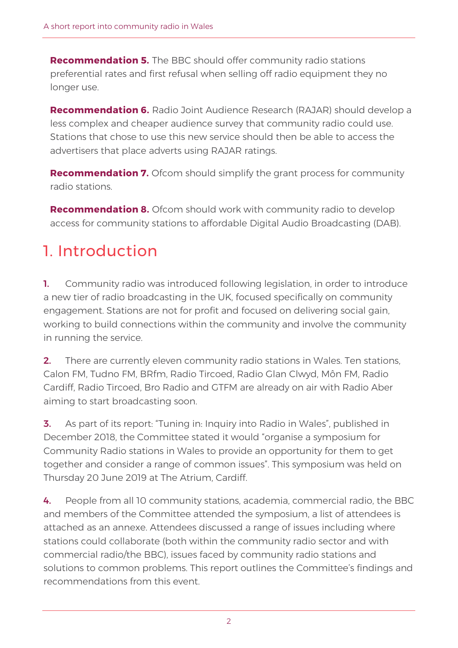**Recommendation 5.** The BBC should offer community radio stations preferential rates and first refusal when selling off radio equipment they no longer use.

**Recommendation 6.** Radio Joint Audience Research (RAJAR) should develop a less complex and cheaper audience survey that community radio could use. Stations that chose to use this new service should then be able to access the advertisers that place adverts using RAJAR ratings.

**Recommendation 7.** Ofcom should simplify the grant process for community radio stations.

**Recommendation 8.** Ofcom should work with community radio to develop access for community stations to affordable Digital Audio Broadcasting (DAB).

# 1. Introduction

1. Community radio was introduced following legislation, in order to introduce a new tier of radio broadcasting in the UK, focused specifically on community engagement. Stations are not for profit and focused on delivering social gain, working to build connections within the community and involve the community in running the service.

**2.** There are currently eleven community radio stations in Wales. Ten stations, Calon FM, Tudno FM, BRfm, Radio Tircoed, Radio Glan Clwyd, Môn FM, Radio Cardiff, Radio Tircoed, Bro Radio and GTFM are already on air with Radio Aber aiming to start broadcasting soon.

**3.** As part of its report: "Tuning in: Inquiry into Radio in Wales", published in December 2018, the Committee stated it would "organise a symposium for Community Radio stations in Wales to provide an opportunity for them to get together and consider a range of common issues". This symposium was held on Thursday 20 June 2019 at The Atrium, Cardiff.

4. People from all 10 community stations, academia, commercial radio, the BBC and members of the Committee attended the symposium, a list of attendees is attached as an annexe. Attendees discussed a range of issues including where stations could collaborate (both within the community radio sector and with commercial radio/the BBC), issues faced by community radio stations and solutions to common problems. This report outlines the Committee's findings and recommendations from this event.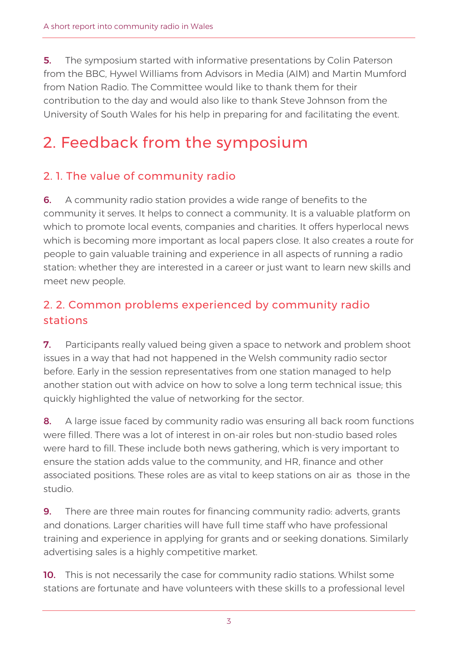**5.** The symposium started with informative presentations by Colin Paterson from the BBC, Hywel Williams from Advisors in Media (AIM) and Martin Mumford from Nation Radio. The Committee would like to thank them for their contribution to the day and would also like to thank Steve Johnson from the University of South Wales for his help in preparing for and facilitating the event.

# 2. Feedback from the symposium

#### 2. 1. The value of community radio

**6.** A community radio station provides a wide range of benefits to the community it serves. It helps to connect a community. It is a valuable platform on which to promote local events, companies and charities. It offers hyperlocal news which is becoming more important as local papers close. It also creates a route for people to gain valuable training and experience in all aspects of running a radio station: whether they are interested in a career or just want to learn new skills and meet new people.

#### 2. 2. Common problems experienced by community radio stations

**7.** Participants really valued being given a space to network and problem shoot issues in a way that had not happened in the Welsh community radio sector before. Early in the session representatives from one station managed to help another station out with advice on how to solve a long term technical issue; this quickly highlighted the value of networking for the sector.

8. A large issue faced by community radio was ensuring all back room functions were filled. There was a lot of interest in on-air roles but non-studio based roles were hard to fill. These include both news gathering, which is very important to ensure the station adds value to the community, and HR, finance and other associated positions. These roles are as vital to keep stations on air as those in the studio.

**9.** There are three main routes for financing community radio: adverts, grants and donations. Larger charities will have full time staff who have professional training and experience in applying for grants and or seeking donations. Similarly advertising sales is a highly competitive market.

**10.** This is not necessarily the case for community radio stations. Whilst some stations are fortunate and have volunteers with these skills to a professional level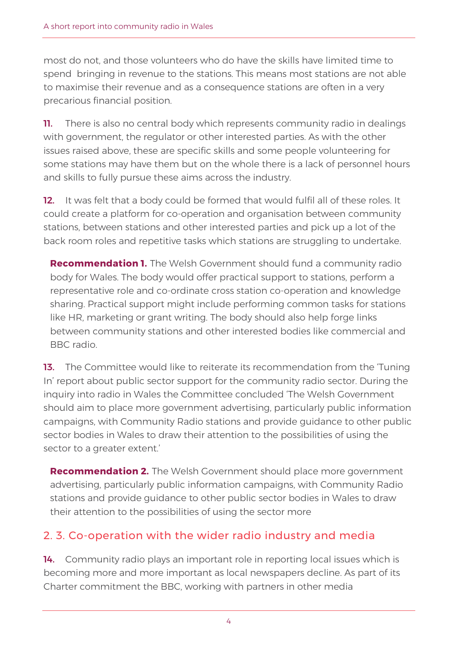most do not, and those volunteers who do have the skills have limited time to spend bringing in revenue to the stations. This means most stations are not able to maximise their revenue and as a consequence stations are often in a very precarious financial position.

**11.** There is also no central body which represents community radio in dealings with government, the regulator or other interested parties. As with the other issues raised above, these are specific skills and some people volunteering for some stations may have them but on the whole there is a lack of personnel hours and skills to fully pursue these aims across the industry.

12. It was felt that a body could be formed that would fulfil all of these roles. It could create a platform for co-operation and organisation between community stations, between stations and other interested parties and pick up a lot of the back room roles and repetitive tasks which stations are struggling to undertake.

**Recommendation 1.** The Welsh Government should fund a community radio body for Wales. The body would offer practical support to stations, perform a representative role and co-ordinate cross station co-operation and knowledge sharing. Practical support might include performing common tasks for stations like HR, marketing or grant writing. The body should also help forge links between community stations and other interested bodies like commercial and BBC radio.

**13.** The Committee would like to reiterate its recommendation from the 'Tuning' In' report about public sector support for the community radio sector. During the inquiry into radio in Wales the Committee concluded 'The Welsh Government should aim to place more government advertising, particularly public information campaigns, with Community Radio stations and provide guidance to other public sector bodies in Wales to draw their attention to the possibilities of using the sector to a greater extent.'

**Recommendation 2.** The Welsh Government should place more government advertising, particularly public information campaigns, with Community Radio stations and provide guidance to other public sector bodies in Wales to draw their attention to the possibilities of using the sector more

#### 2. 3. Co-operation with the wider radio industry and media

14. Community radio plays an important role in reporting local issues which is becoming more and more important as local newspapers decline. As part of its Charter commitment the BBC, working with partners in other media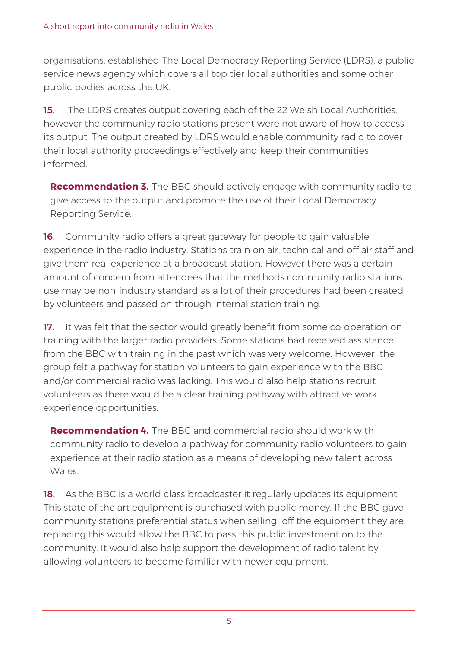organisations, established The Local Democracy Reporting Service (LDRS), a public service news agency which covers all top tier local authorities and some other public bodies across the UK.

**15.** The LDRS creates output covering each of the 22 Welsh Local Authorities, however the community radio stations present were not aware of how to access its output. The output created by LDRS would enable community radio to cover their local authority proceedings effectively and keep their communities informed.

**Recommendation 3.** The BBC should actively engage with community radio to give access to the output and promote the use of their Local Democracy Reporting Service.

**16.** Community radio offers a great gateway for people to gain valuable experience in the radio industry. Stations train on air, technical and off air staff and give them real experience at a broadcast station. However there was a certain amount of concern from attendees that the methods community radio stations use may be non-industry standard as a lot of their procedures had been created by volunteers and passed on through internal station training.

17. It was felt that the sector would greatly benefit from some co-operation on training with the larger radio providers. Some stations had received assistance from the BBC with training in the past which was very welcome. However the group felt a pathway for station volunteers to gain experience with the BBC and/or commercial radio was lacking. This would also help stations recruit volunteers as there would be a clear training pathway with attractive work experience opportunities.

**Recommendation 4.** The BBC and commercial radio should work with community radio to develop a pathway for community radio volunteers to gain experience at their radio station as a means of developing new talent across **Wales** 

18. As the BBC is a world class broadcaster it regularly updates its equipment. This state of the art equipment is purchased with public money. If the BBC gave community stations preferential status when selling off the equipment they are replacing this would allow the BBC to pass this public investment on to the community. It would also help support the development of radio talent by allowing volunteers to become familiar with newer equipment.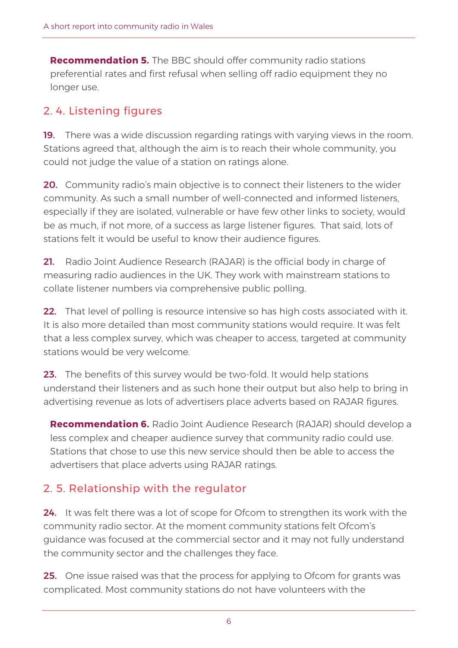**Recommendation 5.** The BBC should offer community radio stations preferential rates and first refusal when selling off radio equipment they no longer use.

#### 2. 4. Listening figures

19. There was a wide discussion regarding ratings with varying views in the room. Stations agreed that, although the aim is to reach their whole community, you could not judge the value of a station on ratings alone.

**20.** Community radio's main objective is to connect their listeners to the wider community. As such a small number of well-connected and informed listeners, especially if they are isolated, vulnerable or have few other links to society, would be as much, if not more, of a success as large listener figures. That said, lots of stations felt it would be useful to know their audience figures.

21. Radio Joint Audience Research (RAJAR) is the official body in charge of measuring radio audiences in the UK. They work with mainstream stations to collate listener numbers via comprehensive public polling.

**22.** That level of polling is resource intensive so has high costs associated with it. It is also more detailed than most community stations would require. It was felt that a less complex survey, which was cheaper to access, targeted at community stations would be very welcome.

23. The benefits of this survey would be two-fold. It would help stations understand their listeners and as such hone their output but also help to bring in advertising revenue as lots of advertisers place adverts based on RAJAR figures.

**Recommendation 6.** Radio Joint Audience Research (RAJAR) should develop a less complex and cheaper audience survey that community radio could use. Stations that chose to use this new service should then be able to access the advertisers that place adverts using RAJAR ratings.

#### 2. 5. Relationship with the regulator

24. It was felt there was a lot of scope for Ofcom to strengthen its work with the community radio sector. At the moment community stations felt Ofcom's guidance was focused at the commercial sector and it may not fully understand the community sector and the challenges they face.

25. One issue raised was that the process for applying to Ofcom for grants was complicated. Most community stations do not have volunteers with the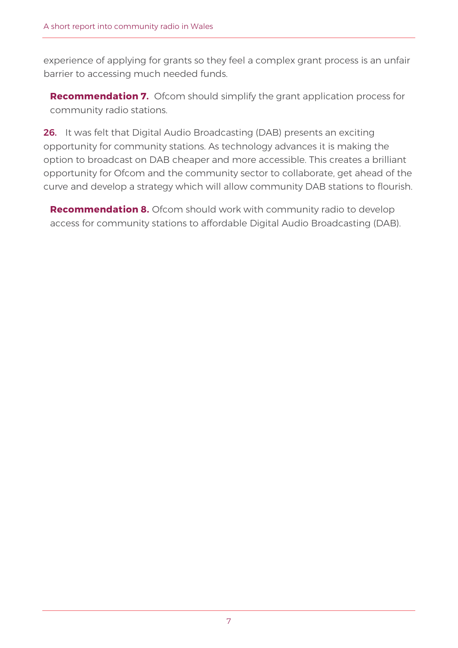experience of applying for grants so they feel a complex grant process is an unfair barrier to accessing much needed funds.

**Recommendation 7.** Ofcom should simplify the grant application process for community radio stations.

26. It was felt that Digital Audio Broadcasting (DAB) presents an exciting opportunity for community stations. As technology advances it is making the option to broadcast on DAB cheaper and more accessible. This creates a brilliant opportunity for Ofcom and the community sector to collaborate, get ahead of the curve and develop a strategy which will allow community DAB stations to flourish.

**Recommendation 8.** Ofcom should work with community radio to develop access for community stations to affordable Digital Audio Broadcasting (DAB).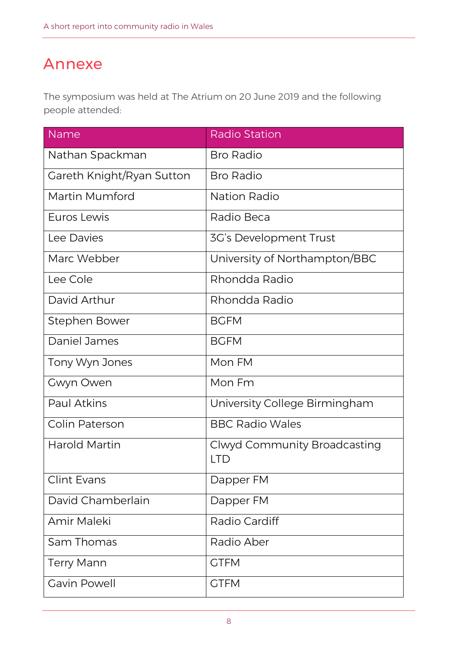## Annexe

The symposium was held at The Atrium on 20 June 2019 and the following people attended:

| Name                      | <b>Radio Station</b>                |
|---------------------------|-------------------------------------|
| Nathan Spackman           | <b>Bro Radio</b>                    |
| Gareth Knight/Ryan Sutton | <b>Bro Radio</b>                    |
| Martin Mumford            | Nation Radio                        |
| Euros Lewis               | Radio Beca                          |
| Lee Davies                | 3G's Development Trust              |
| Marc Webber               | University of Northampton/BBC       |
| Lee Cole                  | Rhondda Radio                       |
| David Arthur              | Rhondda Radio                       |
| Stephen Bower             | <b>BGFM</b>                         |
| Daniel James              | <b>BGFM</b>                         |
| Tony Wyn Jones            | Mon FM                              |
| Gwyn Owen                 | Mon Fm                              |
| <b>Paul Atkins</b>        | University College Birmingham       |
| <b>Colin Paterson</b>     | <b>BBC Radio Wales</b>              |
| Harold Martin             | Clwyd Community Broadcasting<br>LTD |
| <b>Clint Evans</b>        | Dapper FM                           |
| David Chamberlain         | Dapper FM                           |
| Amir Maleki               | Radio Cardiff                       |
| Sam Thomas                | Radio Aber                          |
| <b>Terry Mann</b>         | <b>GTFM</b>                         |
| <b>Gavin Powell</b>       | <b>GTFM</b>                         |